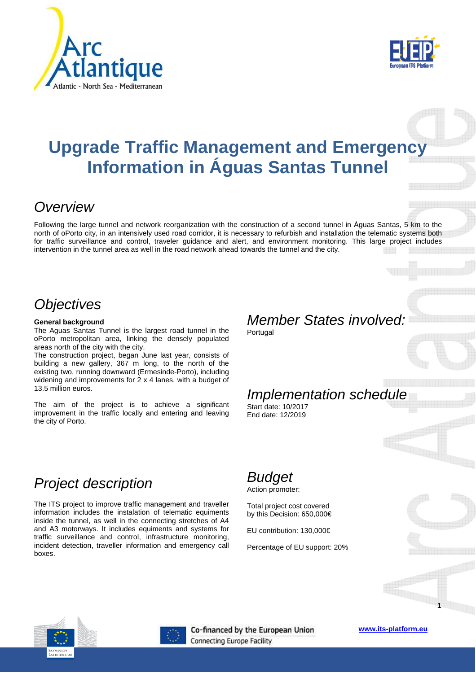



# **Upgrade Traffic Management and Emergency Information in Águas Santas Tunnel**

### **Overview**

Following the large tunnel and network reorganization with the construction of a second tunnel in Águas Santas, 5 km to the north of oPorto city, in an intensively used road corridor, it is necessary to refurbish and installation the telematic systems both for traffic surveillance and control, traveler guidance and alert, and environment monitoring. This large project includes intervention in the tunnel area as well in the road network ahead towards the tunnel and the city.

#### **Objectives**

#### **General background**

The Aguas Santas Tunnel is the largest road tunnel in the oPorto metropolitan area, linking the densely populated areas north of the city with the city.

The construction project, began June last year, consists of building a new gallery, 367 m long, to the north of the existing two, running downward (Ermesinde-Porto), including widening and improvements for 2 x 4 lanes, with a budget of 13.5 million euros.

The aim of the project is to achieve a significant improvement in the traffic locally and entering and leaving the city of Porto.

# Member States involved:

**Portugal** 

# Implementation schedule

Start date: 10/2017 End date: 12/2019

#### Project description

The ITS project to improve traffic management and traveller information includes the instalation of telematic equiments inside the tunnel, as well in the connecting stretches of A4 and A3 motorways. It includes equiments and systems for traffic surveillance and control, infrastructure monitoring, incident detection, traveller information and emergency call boxes.

#### Budget

Action promoter:

Total project cost covered by this Decision: 650,000€

EU contribution: 130,000€

Percentage of EU support: 20%





Co-financed by the European Union Connecting Europe Facility

**www.its-platform.eu**

**1**